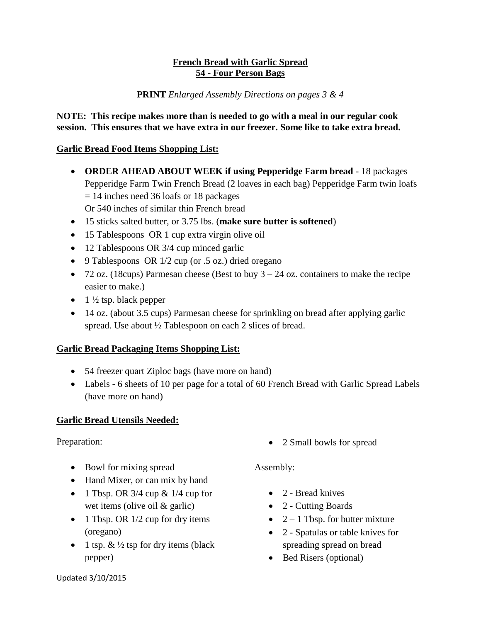## **French Bread with Garlic Spread 54 - Four Person Bags**

#### **PRINT** *Enlarged Assembly Directions on pages 3 & 4*

#### **NOTE: This recipe makes more than is needed to go with a meal in our regular cook session. This ensures that we have extra in our freezer. Some like to take extra bread.**

## **Garlic Bread Food Items Shopping List:**

- **ORDER AHEAD ABOUT WEEK if using Pepperidge Farm bread** 18 packages Pepperidge Farm Twin French Bread (2 loaves in each bag) Pepperidge Farm twin loafs = 14 inches need 36 loafs or 18 packages Or 540 inches of similar thin French bread
- 15 sticks salted butter, or 3.75 lbs. (**make sure butter is softened**)
- 15 Tablespoons OR 1 cup extra virgin olive oil
- 12 Tablespoons OR 3/4 cup minced garlic
- 9 Tablespoons OR  $1/2$  cup (or .5 oz.) dried oregano
- 72 oz. (18cups) Parmesan cheese (Best to buy  $3 24$  oz. containers to make the recipe easier to make.)
- $\bullet$  1 ½ tsp. black pepper
- 14 oz. (about 3.5 cups) Parmesan cheese for sprinkling on bread after applying garlic spread. Use about  $\frac{1}{2}$  Tablespoon on each 2 slices of bread.

#### **Garlic Bread Packaging Items Shopping List:**

- 54 freezer quart Ziploc bags (have more on hand)
- Labels 6 sheets of 10 per page for a total of 60 French Bread with Garlic Spread Labels (have more on hand)

#### **Garlic Bread Utensils Needed:**

#### Preparation:

- Bowl for mixing spread
- Hand Mixer, or can mix by hand
- 1 Tbsp. OR  $3/4$  cup &  $1/4$  cup for wet items (olive oil & garlic)
- $\bullet$  1 Tbsp. OR 1/2 cup for dry items (oregano)
- 1 tsp.  $\& \frac{1}{2}$  tsp for dry items (black pepper)

• 2 Small bowls for spread

#### Assembly:

- 2 Bread knives
- 2 Cutting Boards
- $2 1$  Tbsp. for butter mixture
- 2 Spatulas or table knives for spreading spread on bread
- Bed Risers (optional)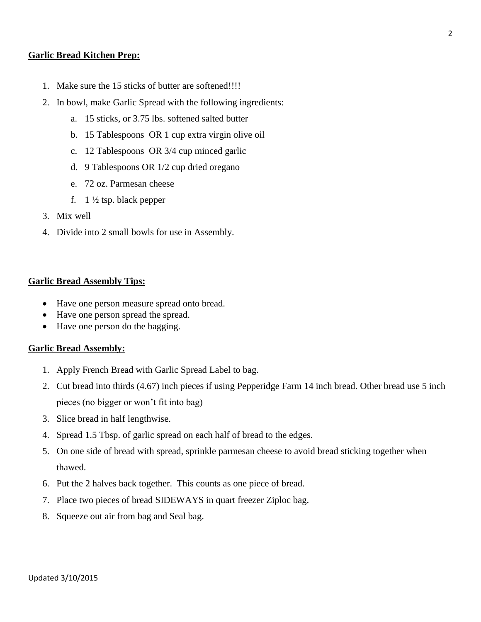#### **Garlic Bread Kitchen Prep:**

- 1. Make sure the 15 sticks of butter are softened!!!!
- 2. In bowl, make Garlic Spread with the following ingredients:
	- a. 15 sticks, or 3.75 lbs. softened salted butter
	- b. 15 Tablespoons OR 1 cup extra virgin olive oil
	- c. 12 Tablespoons OR 3/4 cup minced garlic
	- d. 9 Tablespoons OR 1/2 cup dried oregano
	- e. 72 oz. Parmesan cheese
	- f.  $1\frac{1}{2}$  tsp. black pepper
- 3. Mix well
- 4. Divide into 2 small bowls for use in Assembly.

#### **Garlic Bread Assembly Tips:**

- Have one person measure spread onto bread.
- Have one person spread the spread.
- Have one person do the bagging.

#### **Garlic Bread Assembly:**

- 1. Apply French Bread with Garlic Spread Label to bag.
- 2. Cut bread into thirds (4.67) inch pieces if using Pepperidge Farm 14 inch bread. Other bread use 5 inch pieces (no bigger or won't fit into bag)
- 3. Slice bread in half lengthwise.
- 4. Spread 1.5 Tbsp. of garlic spread on each half of bread to the edges.
- 5. On one side of bread with spread, sprinkle parmesan cheese to avoid bread sticking together when thawed.
- 6. Put the 2 halves back together. This counts as one piece of bread.
- 7. Place two pieces of bread SIDEWAYS in quart freezer Ziploc bag.
- 8. Squeeze out air from bag and Seal bag.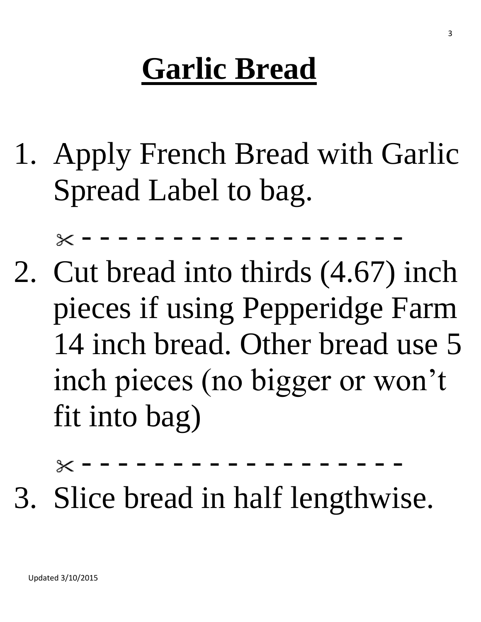# **Garlic Bread**

1. Apply French Bread with Garlic Spread Label to bag.

- - - - - - - - - - - - - - - - - -  $\times$ 

2. Cut bread into thirds (4.67) inch pieces if using Pepperidge Farm 14 inch bread. Other bread use 5 inch pieces (no bigger or won't fit into bag)

- - - - - - - - - - - - - - - - - -

3. Slice bread in half lengthwise.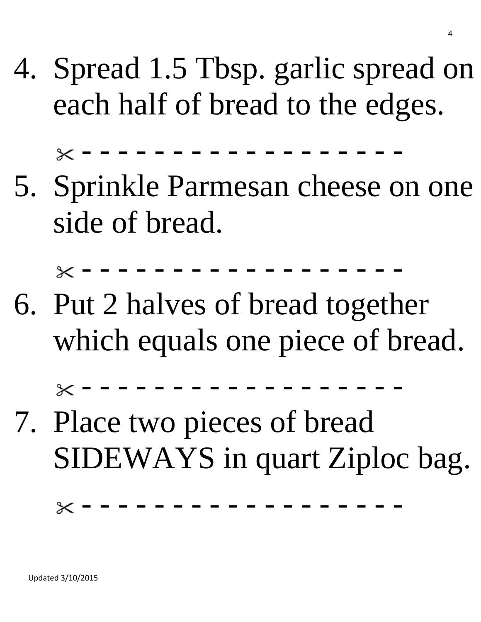4. Spread 1.5 Tbsp. garlic spread on each half of bread to the edges.

- - - - - - - - - - - - - - - - - -

5. Sprinkle Parmesan cheese on one side of bread.

- - - - - - - - - - - - - - - - - -

6. Put 2 halves of bread together which equals one piece of bread.

- - - - - - - - - - - - - - - - - -

7. Place two pieces of bread SIDEWAYS in quart Ziploc bag.

 $\times$  - - - - - - - - - - - - - -